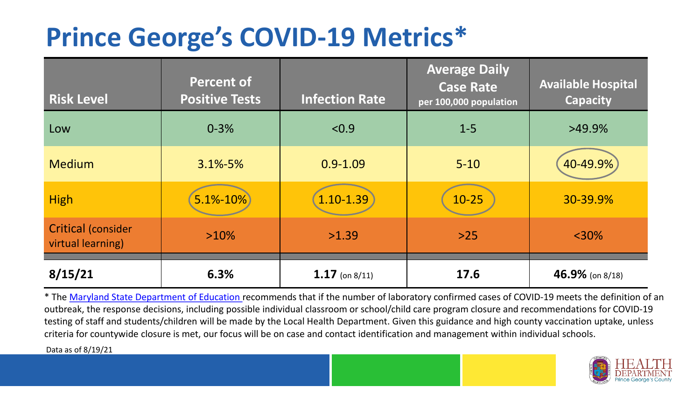## **Prince George's COVID-19 Metrics\***

| <b>Risk Level</b>                       | <b>Percent of</b><br><b>Positive Tests</b> | <b>Infection Rate</b> | <b>Average Daily</b><br><b>Case Rate</b><br>per 100,000 population | <b>Available Hospital</b><br><b>Capacity</b> |
|-----------------------------------------|--------------------------------------------|-----------------------|--------------------------------------------------------------------|----------------------------------------------|
| Low                                     | $0 - 3%$                                   | < 0.9                 | $1 - 5$                                                            | $>49.9\%$                                    |
| <b>Medium</b>                           | $3.1\% - 5\%$                              | $0.9 - 1.09$          | $5 - 10$                                                           | 40-49.9%                                     |
| <b>High</b>                             | $5.1\% - 10\%$                             | $1.10 - 1.39$         | $10 - 25$                                                          | 30-39.9%                                     |
| Critical (consider<br>virtual learning) | $>10\%$                                    | >1.39                 | $>25$                                                              | $<$ 30%                                      |
| 8/15/21                                 | 6.3%                                       | $1.17$ (on 8/11)      | 17.6                                                               | 46.9% (on 8/18)                              |

\* The [Maryland State Department of Education r](https://earlychildhood.marylandpublicschools.org/system/files/filedepot/3/covid_guidance_full_080420.pdf)ecommends that if the number of laboratory confirmed cases of COVID-19 meets the definition of an outbreak, the response decisions, including possible individual classroom or school/child care program closure and recommendations for COVID-19 testing of staff and students/children will be made by the Local Health Department. Given this guidance and high county vaccination uptake, unless criteria for countywide closure is met, our focus will be on case and contact identification and management within individual schools.

Data as of 8/19/21

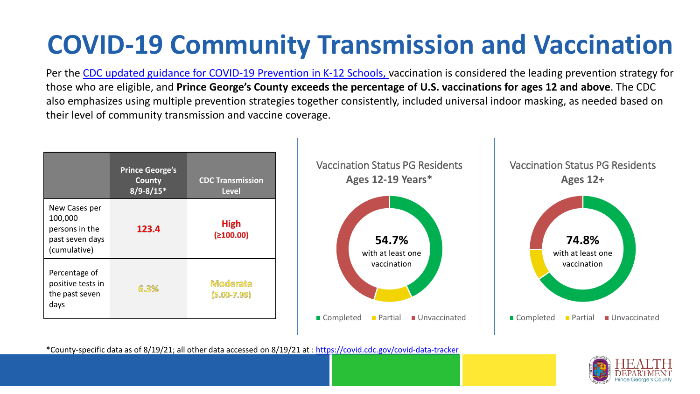## **COVID-19 Community Transmission and Vaccination**

Per the [CDC updated guidance for COVID-19 Prevention in K-12 Schools,](https://www.cdc.gov/coronavirus/2019-ncov/community/schools-childcare/k-12-guidance.html) vaccination is considered the leading prevention strategy for those who are eligible, and **Prince George's County exceeds the percentage of U.S. vaccinations for ages 12 and above**. The CDC also emphasizes using multiple prevention strategies together consistently, included universal indoor masking, as needed based on their level of community transmission and vaccine coverage.



\*County-specific data as of 8/19/21; all other data accessed on 8/19/21 at :<https://covid.cdc.gov/covid-data-tracker>

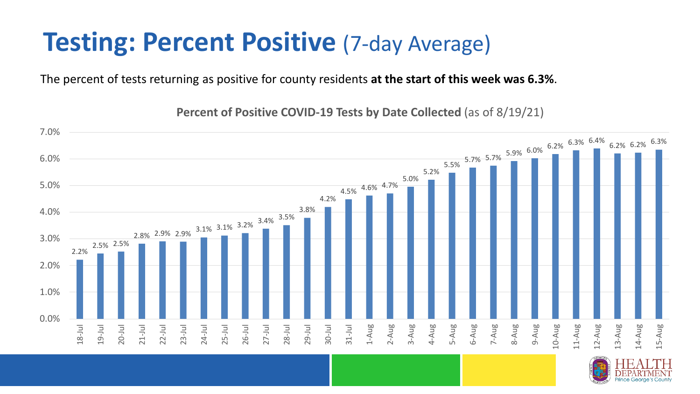#### **Testing: Percent Positive (7-day Average)**

The percent of tests returning as positive for county residents **at the start of this week was 6.3%**.

2.2% 2.5% 2.5% 2.8% 2.9% 2.9% 3.1% 3.1% 3.2% 3.4% 3.5% 3.8% 4.2% 4.5% 4.6% 4.7% 5.0% 5.2%  $5.5\%$  5.7% 5.7% 5.9% 6.0% 6.2% 6.3% 6.4% 6.2% 6.2% 6.3% 6.3% 0.0% 1.0% 2.0% 3.0% 4.0% 5.0% 6.0% 7.0% 18-Jul 19-Jul 20-Jul 21-Jul 22-Jul 23-Jul 24-Jul 25-Jul 26-Jul 27-Jul 28-Jul 29-Jul 30-Jul 31-Jul 1-Aug 2-Aug 3-Aug 4-Aug 5-Aug 6-Aug 7-Aug 8-Aug 9-Aug 10-Aug 11-Aug 12-Aug 13-Aug 14-Aug 15-Aug

**Percent of Positive COVID-19 Tests by Date Collected** (as of 8/19/21)

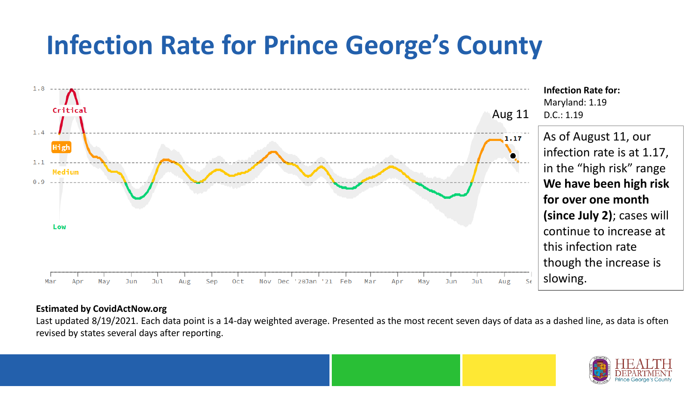### **Infection Rate for Prince George's County**



#### **Estimated by CovidActNow.org**

Last updated 8/19/2021. Each data point is a 14-day weighted average. Presented as the most recent seven days of data as a dashed line, as data is often revised by states several days after reporting.

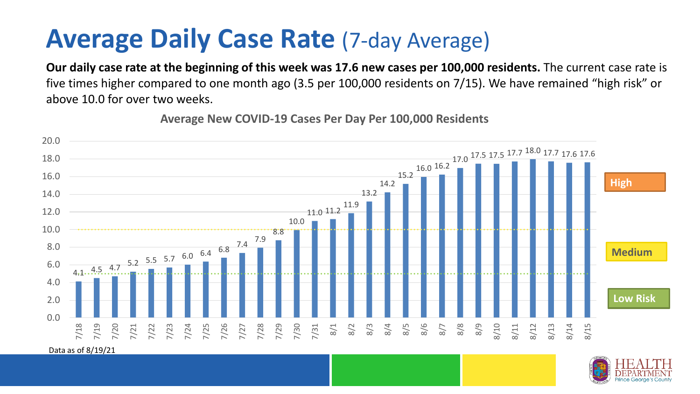#### **Average Daily Case Rate** (7-day Average)

**Our daily case rate at the beginning of this week was 17.6 new cases per 100,000 residents.** The current case rate is five times higher compared to one month ago (3.5 per 100,000 residents on 7/15). We have remained "high risk" or above 10.0 for over two weeks.



**Average New COVID-19 Cases Per Day Per 100,000 Residents**